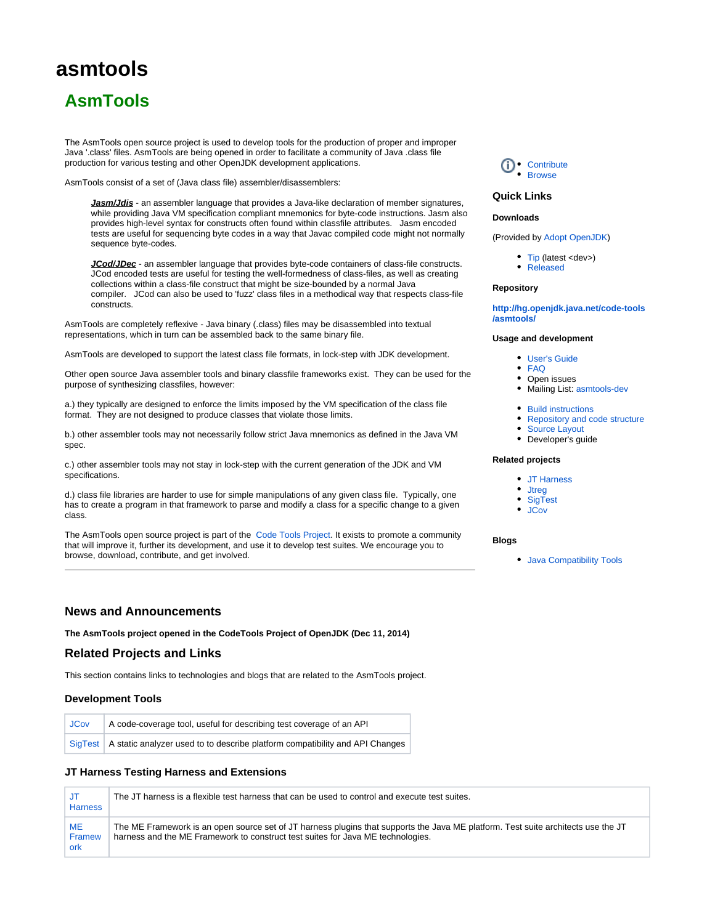# **asmtools**

# **AsmTools**

The AsmTools open source project is used to develop tools for the production of proper and improper Java '.class' files. AsmTools are being opened in order to facilitate a community of Java .class file production for various testing and other OpenJDK development applications.

AsmTools consist of a set of (Java class file) assembler/disassemblers:

**Jasm/Jdis** - an assembler language that provides a Java-like declaration of member signatures, while providing Java VM specification compliant mnemonics for byte-code instructions. Jasm also provides high-level syntax for constructs often found within classfile attributes. Jasm encoded tests are useful for sequencing byte codes in a way that Javac compiled code might not normally sequence byte-codes.

**JCod/JDec** - an assembler language that provides byte-code containers of class-file constructs. JCod encoded tests are useful for testing the well-formedness of class-files, as well as creating collections within a class-file construct that might be size-bounded by a normal Java compiler. JCod can also be used to 'fuzz' class files in a methodical way that respects class-file constructs.

AsmTools are completely reflexive - Java binary (.class) files may be disassembled into textual representations, which in turn can be assembled back to the same binary file.

AsmTools are developed to support the latest class file formats, in lock-step with JDK development.

Other open source Java assembler tools and binary classfile frameworks exist. They can be used for the purpose of synthesizing classfiles, however:

a.) they typically are designed to enforce the limits imposed by the VM specification of the class file format. They are not designed to produce classes that violate those limits.

b.) other assembler tools may not necessarily follow strict Java mnemonics as defined in the Java VM spec.

c.) other assembler tools may not stay in lock-step with the current generation of the JDK and VM specifications.

d.) class file libraries are harder to use for simple manipulations of any given class file. Typically, one has to create a program in that framework to parse and modify a class for a specific change to a given class.

The AsmTools open source project is part of the [Code Tools Project](http://openjdk.java.net/projects/code-tools/). It exists to promote a community that will improve it, further its development, and use it to develop test suites. We encourage you to browse, download, contribute, and get involved.

### **News and Announcements**

**The AsmTools project opened in the CodeTools Project of OpenJDK (Dec 11, 2014)**

#### **Related Projects and Links**

This section contains links to technologies and blogs that are related to the AsmTools project.

#### **Development Tools**

| <b>JCov</b> | A code-coverage tool, useful for describing test coverage of an API                    |
|-------------|----------------------------------------------------------------------------------------|
|             | SigTest   A static analyzer used to to describe platform compatibility and API Changes |

#### **JT Harness Testing Harness and Extensions**

| JT<br><b>Harness</b>       | The JT harness is a flexible test harness that can be used to control and execute test suites.                                                                                                                       |
|----------------------------|----------------------------------------------------------------------------------------------------------------------------------------------------------------------------------------------------------------------|
| <b>ME</b><br>Framew<br>ork | The ME Framework is an open source set of JT harness plugins that supports the Java ME platform. Test suite architects use the JT<br>harness and the ME Framework to construct test suites for Java ME technologies. |



### **Quick Links**

#### **Downloads**

(Provided by [Adopt OpenJDK](https://java.net/projects/adoptopenjdk))

• [Tip](https://adopt-openjdk.ci.cloudbees.com/view/OpenJDK/job/asmtools/) (latest <dev>) [Released](https://adopt-openjdk.ci.cloudbees.com/view/OpenJDK/job/asmtools/)

#### **Repository**

**[http://hg.openjdk.java.net/code-tools](http://hg.openjdk.java.net/code-tools/asmtools/) [/asmtools/](http://hg.openjdk.java.net/code-tools/asmtools/)**

#### **Usage and development**

- [User's Guide](https://wiki.openjdk.org/display/CodeTools/AsmTools+User+Guide)
- [FAQ](https://wiki.openjdk.org/pages/viewpage.action?pageId=21430388)
- Open issues
- Mailing List: [asmtools-dev](http://mail.openjdk.java.net/mailman/listinfo/asmtools-dev)
- [Build instructions](https://wiki.openjdk.org/display/CodeTools/How+to+build+AsmTools)
- [Repository and code structure](https://wiki.openjdk.org/pages/viewpage.action?pageId=21430609)
- [Source Layout](https://wiki.openjdk.org/pages/viewpage.action?pageId=21430613)
- Developer's guide

#### **Related projects**

- [JT Harness](https://wiki.openjdk.org/display/CodeTools/JT+Harness)
- Jtreq
- [SigTest](https://wiki.openjdk.org/display/CodeTools/sigtest)
- [JCov](https://wiki.openjdk.org/display/CodeTools/jcov)

#### **Blogs**

[Java Compatibility Tools](http://blogs.oracle.com/JCCT/)